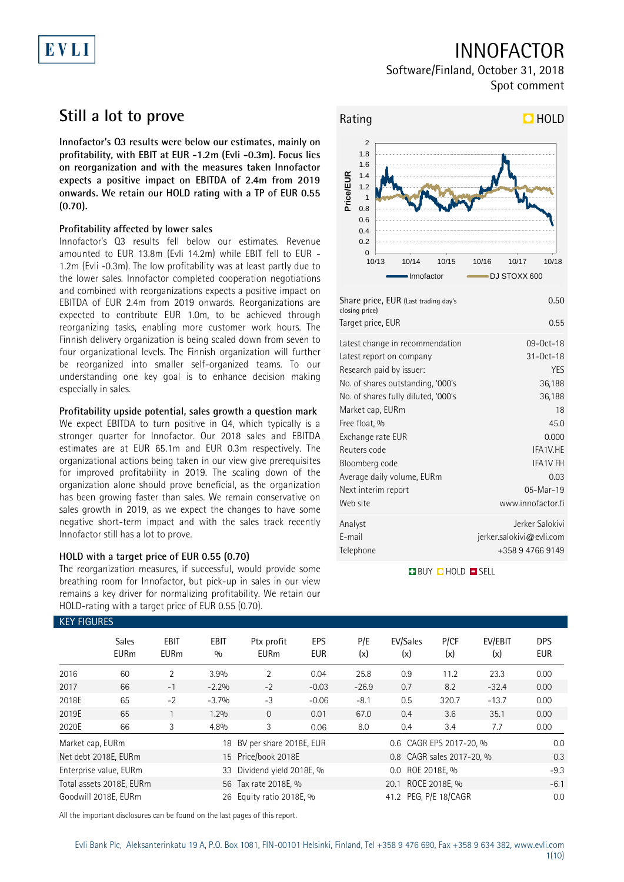# EVLI

## INNOFACTOR

Software/Finland, October 31, 2018 Spot comment

## **Still a lot to prove**

**Innofactor's Q3 results were below our estimates, mainly on profitability, with EBIT at EUR -1.2m (Evli -0.3m). Focus lies on reorganization and with the measures taken Innofactor expects a positive impact on EBITDA of 2.4m from 2019 onwards. We retain our HOLD rating with a TP of EUR 0.55 (0.70).**

### **Profitability affected by lower sales**

Innofactor's Q3 results fell below our estimates. Revenue amounted to EUR 13.8m (Evli 14.2m) while EBIT fell to EUR - 1.2m (Evli -0.3m). The low profitability was at least partly due to the lower sales. Innofactor completed cooperation negotiations and combined with reorganizations expects a positive impact on EBITDA of EUR 2.4m from 2019 onwards. Reorganizations are expected to contribute EUR 1.0m, to be achieved through reorganizing tasks, enabling more customer work hours. The Finnish delivery organization is being scaled down from seven to four organizational levels. The Finnish organization will further be reorganized into smaller self-organized teams. To our understanding one key goal is to enhance decision making especially in sales.

### **Profitability upside potential, sales growth a question mark**

We expect EBITDA to turn positive in Q4, which typically is a stronger quarter for Innofactor. Our 2018 sales and EBITDA estimates are at EUR 65.1m and EUR 0.3m respectively. The organizational actions being taken in our view give prerequisites for improved profitability in 2019. The scaling down of the organization alone should prove beneficial, as the organization has been growing faster than sales. We remain conservative on sales growth in 2019, as we expect the changes to have some negative short-term impact and with the sales track recently Innofactor still has a lot to prove.

### **HOLD with a target price of EUR 0.55 (0.70)**

The reorganization measures, if successful, would provide some breathing room for Innofactor, but pick-up in sales in our view remains a key driver for normalizing profitability. We retain our HOLD-rating with a target price of EUR 0.55 (0.70).



| Share price, EUR (Last trading day's<br>closing price) | 0.50                        |
|--------------------------------------------------------|-----------------------------|
| Target price, EUR                                      | 0.55                        |
| Latest change in recommendation                        | 09-0ct-18                   |
| Latest report on company                               | $31 - Oct - 18$             |
| Research paid by issuer:                               | <b>YES</b>                  |
| No. of shares outstanding, '000's                      | 36,188                      |
| No. of shares fully diluted, '000's                    | 36,188                      |
| Market cap, EURm                                       | 18                          |
| Free float, %                                          | 45.0                        |
| Exchange rate EUR                                      | 0.000                       |
| Reuters code                                           | IFA1V.HE                    |
| Bloomberg code                                         | <b>IFA1V FH</b>             |
| Average daily volume, EURm                             | 0.03                        |
| Next interim report                                    | 05-Mar-19                   |
| Web site                                               | www.innofactor.fi           |
| Analyst                                                | Jerker Salokivi             |
| E-mail                                                 | $j$ erker.salokivi@evli.com |
| Telephone                                              | +358 9 4766 9149            |

**BUY QHOLD SELL** 

| <b>KEY FIGURES</b> |                             |                     |             |                                             |                   |            |                           |             |                |                          |
|--------------------|-----------------------------|---------------------|-------------|---------------------------------------------|-------------------|------------|---------------------------|-------------|----------------|--------------------------|
|                    | <b>Sales</b><br><b>EURm</b> | EBIT<br><b>EURm</b> | EBIT<br>0/0 | Ptx profit<br><b>EURm</b>                   | EPS<br><b>EUR</b> | P/E<br>(x) | EV/Sales<br>(x)           | P/CF<br>(x) | EV/EBIT<br>(x) | <b>DPS</b><br><b>EUR</b> |
| 2016               | 60                          | $\overline{2}$      | 3.9%        | $\overline{2}$                              | 0.04              | 25.8       | 0.9                       | 11.2        | 23.3           | 0.00                     |
| 2017               | 66                          | $-1$                | $-2.2%$     | $-2$                                        | $-0.03$           | $-26.9$    | 0.7                       | 8.2         | $-32.4$        | 0.00                     |
| 2018E              | 65                          | $-2$                | $-3.7%$     | $-3$                                        | $-0.06$           | $-8.1$     | 0.5                       | 320.7       | $-13.7$        | 0.00                     |
| 2019E              | 65                          |                     | 1.2%        | $\Omega$                                    | 0.01              | 67.0       | 0.4                       | 3.6         | 35.1           | 0.00                     |
| 2020E              | 66                          | 3                   | 4.8%        | 3                                           | 0.06              | 8.0        | 0.4                       | 3.4         | 7.7            | 0.00                     |
| Market cap, EURm   |                             |                     | 18          | BV per share 2018E, EUR                     |                   |            | 0.6 CAGR EPS 2017-20, %   |             |                | 0.0                      |
|                    | Net debt 2018E, EURm        |                     |             | 15 Price/book 2018E                         |                   |            | 0.8 CAGR sales 2017-20, % |             |                | 0.3                      |
|                    | Enterprise value, EURm      |                     | 33          | Dividend yield 2018E, %<br>0.0 ROE 2018E, % |                   |            |                           |             | $-9.3$         |                          |
|                    | Total assets 2018E, EURm    |                     |             | 20.1 ROCE 2018E, %<br>56 Tax rate 2018E, %  |                   |            |                           |             |                | $-6.1$                   |
|                    | Goodwill 2018E, EURm        |                     |             | 26 Equity ratio 2018E, %                    |                   |            | 41.2 PEG, P/E 18/CAGR     |             |                | 0.0                      |

All the important disclosures can be found on the last pages of this report.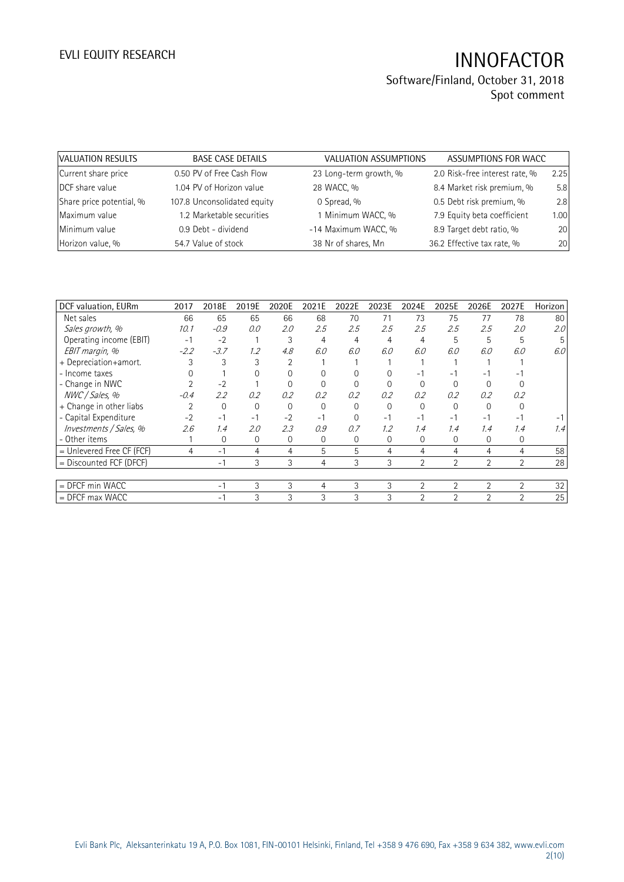| VALUATION RESULTS        | <b>BASE CASE DETAILS</b>    | VALUATION ASSUMPTIONS  | ASSUMPTIONS FOR WACC           |      |
|--------------------------|-----------------------------|------------------------|--------------------------------|------|
| Current share price      | 0.50 PV of Free Cash Flow   | 23 Long-term growth, % | 2.0 Risk-free interest rate, % | 2.25 |
| DCF share value          | 1.04 PV of Horizon value    | 28 WACC, %             | 8.4 Market risk premium, %     | 5.8  |
| Share price potential, % | 107.8 Unconsolidated equity | 0 Spread, %            | 0.5 Debt risk premium, %       | 2.8  |
| Maximum value            | 1.2 Marketable securities   | 1 Minimum WACC, %      | 7.9 Equity beta coefficient    | 1.00 |
| Minimum value            | 0.9 Debt - dividend         | -14 Maximum WACC, %    | 8.9 Target debt ratio, %       | 20   |
| Horizon value, %         | 54.7 Value of stock         | 38 Nr of shares, Mn    | 36.2 Effective tax rate, %     | 20   |

| DCF valuation, EURm         | 2017   | 2018E  | 2019E    | 2020E | 2021E    | 2022E    | 2023E        | 2024E          | 2025E          | 2026E                    | 2027E          | Horizon          |
|-----------------------------|--------|--------|----------|-------|----------|----------|--------------|----------------|----------------|--------------------------|----------------|------------------|
| Net sales                   | 66     | 65     | 65       | 66    | 68       | 70       | 71           | 73             | 75             | 77                       | 78             | 80               |
| Sales growth, %             | 10.1   | $-0.9$ | 0.0      | 2.0   | 2.5      | 2.5      | 2.5          | 2.5            | 2.5            | 2.5                      | 2.0            | 2.0 <sup>°</sup> |
| Operating income (EBIT)     | $-1$   | $-2$   |          | 3     | 4        | 4        | 4            | $\overline{4}$ | 5              | 5                        | 5              |                  |
| EBIT margin, %              | $-2.2$ | $-3.7$ | 1.2      | 4.8   | 6.0      | 6.0      | 6.0          | 6.0            | 6.0            | 6.0                      | 6.0            | 6.0 <sub>1</sub> |
| + Depreciation+amort.       |        |        |          |       |          |          |              |                |                |                          |                |                  |
| - Income taxes              |        |        |          |       |          |          |              |                |                | $\overline{\phantom{a}}$ |                |                  |
| - Change in NWC             |        | $-2$   |          |       |          |          |              |                |                |                          |                |                  |
| NWC / Sales, %              | $-0.4$ | 2.2    | 0.2      | 0.2   | 0.2      | 0.2      | 0.2          | 0.2            | 0.2            | 0.2                      | 0.2            |                  |
| + Change in other liabs     |        | 0      | $\Omega$ |       | $\Omega$ | $\Omega$ | $\Omega$     |                |                |                          |                |                  |
| - Capital Expenditure       | $-2$   | $-1$   | -1       | $-2$  | $-1$     | $\Omega$ | $-1$         | - 1            | - 1            | - 1                      | ۰.             |                  |
| Investments / Sales, %      | 2.6    | 1.4    | 2.0      | 2.3   | 0.9      | 0.7      | 1.2          | 1.4            | 1.4            | 1.4                      | 1.4            | 1.4              |
| - Other items               |        | 0      | 0        | 0     | 0        | 0        | $\mathbf{0}$ | 0              | $\overline{0}$ | 0                        | 0              |                  |
| $=$ Unlevered Free CF (FCF) | 4      | $-1$   | 4        | 4     | 5        | 5        | 4            | 4              | 4              | 4                        | 4              | 58               |
| = Discounted FCF (DFCF)     |        | $-1$   | 3        | 3     | 4        | 3        | 3            | $\overline{2}$ | 2              | $\overline{2}$           | 2              | 28               |
|                             |        |        |          |       |          |          |              |                |                |                          |                |                  |
| = DFCF min WACC             |        | $-1$   | 3        | 3     | 4        | 3        | 3            | $\overline{2}$ | $\overline{2}$ | $\overline{2}$           | $\overline{2}$ | 32               |
| $=$ DFCF max WACC           |        | - 1    | 3        | 3     | 3        | 3        | 3            | $\overline{2}$ | $\overline{2}$ | $\mathfrak{D}$           | $\mathfrak{D}$ | 25               |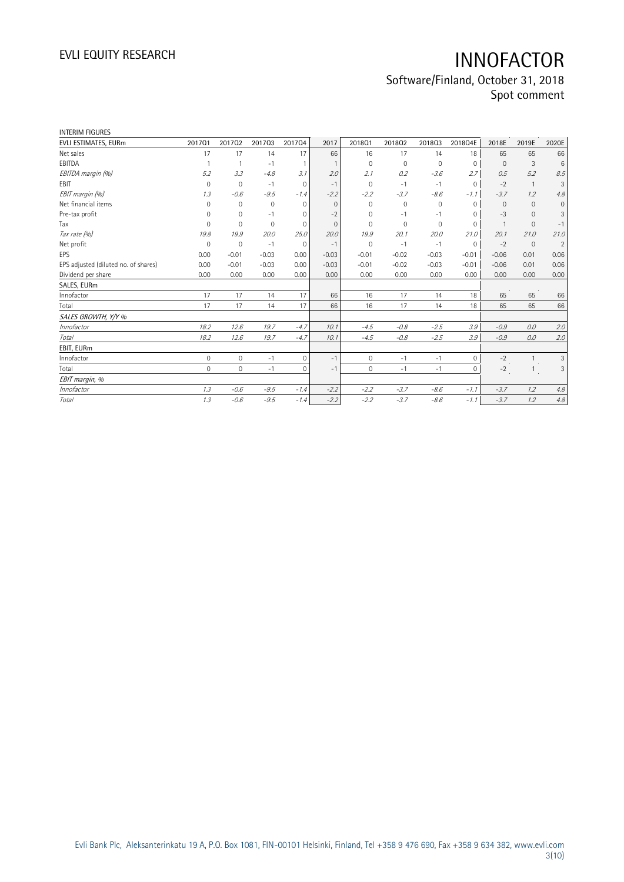| <b>INTERIM FIGURES</b>               |              |                |             |                |              |              |             |                     |              |                |                |                     |
|--------------------------------------|--------------|----------------|-------------|----------------|--------------|--------------|-------------|---------------------|--------------|----------------|----------------|---------------------|
| EVLI ESTIMATES, EURm                 | 201701       | 201702         | 201703      | 201704         | 2017         | 201801       | 201802      | 201803              | 2018Q4E      | 2018E          | 2019E          | 2020E               |
| Net sales                            | 17           | 17             | 14          | 17             | 66           | 16           | 17          | 14                  | 18           | 65             | 65             | 66                  |
| EBITDA                               | $\mathbf{1}$ |                | $-1$        | $\overline{1}$ |              | $\mathbf 0$  | 0           | $\mathbf 0$         | $\Omega$     | $\Omega$       | 3              | 6                   |
| EBITDA margin (%)                    | 5.2          | 3.3            | $-4.8$      | 3.1            | 2.0          | 2.1          | 0.2         | $-3.6$              | 2.7          | 0.5            | 5.2            | 8.5                 |
| EBIT                                 | 0            | $\overline{0}$ | $-1$        | $\mathbf{0}$   | $-1$         | $\mathbf 0$  | $-1$        | $-1$                | $\mathbf{0}$ | $-2$           |                | 3                   |
| EBIT margin (%)                      | 1.3          | $-0.6$         | $-9.5$      | $-1.4$         | $-2.2$       | $-2.2$       | $-3.7$      | $-8.6$              | $-1.1$       | $-3.7$         | 1.2            | 4.8                 |
| Net financial items                  | $\Omega$     | $\mathbf 0$    | $\mathbf 0$ | $\mathbf{0}$   | $\Omega$     | $\Omega$     | $\mathbf 0$ | $\mathsf{O}\xspace$ | $\Omega$     | $\mathbf{0}$   | $\Omega$       | $\mathsf{O}\xspace$ |
| Pre-tax profit                       | $\Omega$     | $\mathbf 0$    | $-1$        | 0              | $-2$         | $\Omega$     | $-1$        | $-1$                | $\Omega$     | $-3$           | $\mathbf 0$    | 3                   |
| Tax                                  | $\Omega$     | $\Omega$       | $\mathbf 0$ | 0              | $\mathbf{0}$ | $\Omega$     | 0           | $\mathbf 0$         | $\mathbf 0$  | $\overline{1}$ | $\mathbf 0$    | $-1$                |
| Tax rate (%)                         | 19.8         | 19.9           | 20.0        | 25.0           | 20.0         | 19.9         | 20.1        | 20.0                | 21.0         | 20.1           | 21.0           | 21.0                |
| Net profit                           | $\mathbf 0$  | $\mathbf 0$    | $-1$        | $\mathbf{0}$   | $-1$         | $\mathbf 0$  | $-1$        | $-1$                | $\mathbf 0$  | $-2$           | $\mathbf{0}$   | $\overline{2}$      |
| EPS                                  | 0.00         | $-0.01$        | $-0.03$     | 0.00           | $-0.03$      | $-0.01$      | $-0.02$     | $-0.03$             | $-0.01$      | $-0.06$        | 0.01           | 0.06                |
| EPS adjusted (diluted no. of shares) | 0.00         | $-0.01$        | $-0.03$     | 0.00           | $-0.03$      | $-0.01$      | $-0.02$     | $-0.03$             | $-0.01$      | $-0.06$        | 0.01           | 0.06                |
| Dividend per share                   | 0.00         | 0.00           | 0.00        | 0.00           | 0.00         | 0.00         | 0.00        | 0.00                | 0.00         | 0.00           | 0.00           | 0.00                |
| SALES, EURm                          |              |                |             |                |              |              |             |                     |              |                |                |                     |
| Innofactor                           | 17           | 17             | 14          | 17             | 66           | 16           | 17          | 14                  | 18           | 65             | 65             | 66                  |
| Total                                | 17           | 17             | 14          | 17             | 66           | 16           | 17          | 14                  | 18           | 65             | 65             | 66                  |
| SALES GROWTH, Y/Y %                  |              |                |             |                |              |              |             |                     |              |                |                |                     |
| Innofactor                           | 18.2         | 12.6           | 19.7        | $-4.7$         | 10.1         | $-4.5$       | $-0.8$      | $-2.5$              | 3.9          | $-0.9$         | 0.0            | 2.0                 |
| Total                                | 18.2         | 12.6           | 19.7        | $-4.7$         | 10.1         | $-4.5$       | $-0.8$      | $-2.5$              | 3.9          | $-0.9$         | 0.0            | 2.0                 |
| EBIT, EURm                           |              |                |             |                |              |              |             |                     |              |                |                |                     |
| Innofactor                           | $\mathbf 0$  | $\mathbf{0}$   | $-1$        | $\mathbf{0}$   | $-1$         | $\mathbf{0}$ | $-1$        | $-1$                | $\circ$      | $-2$           | $\overline{1}$ | 3                   |
| Total                                | $\Omega$     | $\Omega$       | $-1$        | $\Omega$       | $-1$         | $\Omega$     | $-1$        | $-1$                | $\Omega$     | $-2$           |                | 3                   |
| EBIT margin, %                       |              |                |             |                |              |              |             |                     |              |                |                |                     |
| Innofactor                           | 1.3          | $-0.6$         | $-9.5$      | $-1.4$         | $-2.2$       | $-2.2$       | $-3.7$      | $-8.6$              | $-1.1$       | $-3.7$         | 1.2            | 4.8                 |
| Total                                | 1.3          | $-0.6$         | $-9.5$      | $-1.4$         | $-2.2$       | $-2.2$       | $-3.7$      | $-8.6$              | $-1.1$       | $-3.7$         | 1.2            | 4.8                 |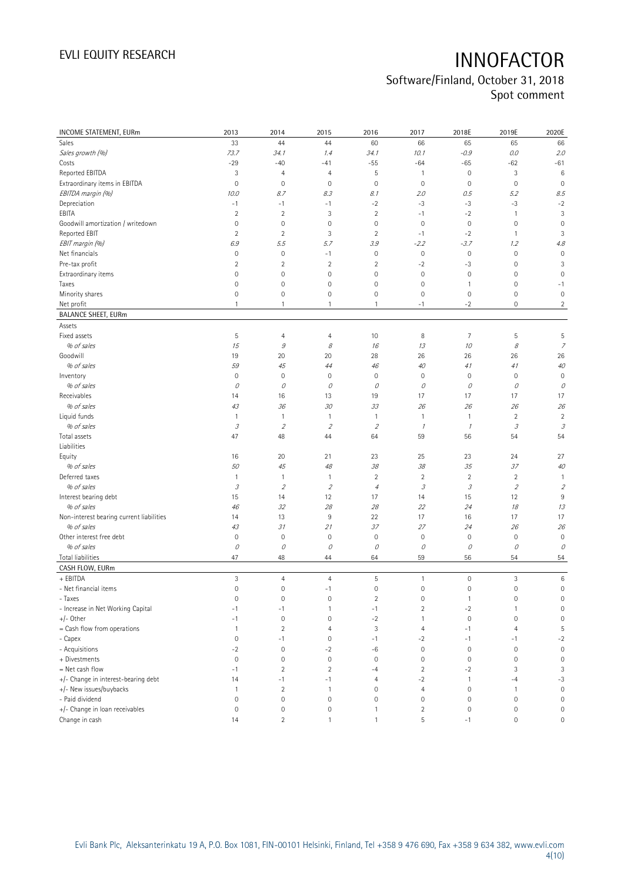| INCOME STATEMENT, EURm                   | 2013                                                                                                                                                                                                                                                                                                                                                                                                                                                      | 2014               | 2015                        | 2016                | 2017           | 2018E               | 2019E                                                                                                                                                                                                                                                                                                                                                                                                                                                     | 2020E               |
|------------------------------------------|-----------------------------------------------------------------------------------------------------------------------------------------------------------------------------------------------------------------------------------------------------------------------------------------------------------------------------------------------------------------------------------------------------------------------------------------------------------|--------------------|-----------------------------|---------------------|----------------|---------------------|-----------------------------------------------------------------------------------------------------------------------------------------------------------------------------------------------------------------------------------------------------------------------------------------------------------------------------------------------------------------------------------------------------------------------------------------------------------|---------------------|
| Sales                                    | 33                                                                                                                                                                                                                                                                                                                                                                                                                                                        | 44                 | 44                          | 60                  | 66             | 65                  | 65                                                                                                                                                                                                                                                                                                                                                                                                                                                        | 66                  |
| Sales growth (%)                         | 73.7                                                                                                                                                                                                                                                                                                                                                                                                                                                      | 34. 1              | 1.4                         | 34.1                | 10.1           | $-0.9$              | $0.0\,$                                                                                                                                                                                                                                                                                                                                                                                                                                                   | 2.0                 |
| Costs                                    | $-29$                                                                                                                                                                                                                                                                                                                                                                                                                                                     | $-40$              | $-41$                       | $-55$               | $-64$          | $-65$               | $-62$                                                                                                                                                                                                                                                                                                                                                                                                                                                     | $-61$               |
| Reported EBITDA                          | 3                                                                                                                                                                                                                                                                                                                                                                                                                                                         | $\overline{4}$     | 4                           | 5                   | $\overline{1}$ | $\mathsf{O}\xspace$ | 3                                                                                                                                                                                                                                                                                                                                                                                                                                                         | $6\phantom{1}6$     |
| Extraordinary items in EBITDA            | $\mathbf 0$                                                                                                                                                                                                                                                                                                                                                                                                                                               | $\mathbf 0$        | $\mathbf 0$                 | $\mathbf 0$         | $\mathbf 0$    | $\mathbf 0$         | $\mathbf 0$                                                                                                                                                                                                                                                                                                                                                                                                                                               | $\mathbf 0$         |
| EBITDA margin (%)                        | 10.0                                                                                                                                                                                                                                                                                                                                                                                                                                                      | 8.7                | 8.3                         | 8.1                 | 2.0            | 0.5                 | 5.2                                                                                                                                                                                                                                                                                                                                                                                                                                                       | 8.5                 |
| Depreciation                             | $-1$                                                                                                                                                                                                                                                                                                                                                                                                                                                      | $-1$               | $-1$                        | $-2$                | $-3$           | $-3$                | $-3$                                                                                                                                                                                                                                                                                                                                                                                                                                                      | $-2$                |
| EBITA                                    | $\overline{2}$                                                                                                                                                                                                                                                                                                                                                                                                                                            | $\overline{2}$     | 3                           | $\overline{2}$      | $-1$           | $-2$                | 1                                                                                                                                                                                                                                                                                                                                                                                                                                                         | 3                   |
| Goodwill amortization / writedown        | $\mathbf 0$                                                                                                                                                                                                                                                                                                                                                                                                                                               | $\mathbf 0$        | $\mathbf 0$                 | $\mathbf 0$         | $\mathbf 0$    | $\mathbb O$         | $\mathbf 0$                                                                                                                                                                                                                                                                                                                                                                                                                                               | $\mathbf 0$         |
| Reported EBIT                            | $\overline{2}$                                                                                                                                                                                                                                                                                                                                                                                                                                            | $\overline{2}$     | 3                           | $\overline{2}$      | $-1$           | $-2$                | 1                                                                                                                                                                                                                                                                                                                                                                                                                                                         | 3                   |
| EBIT margin (%)                          | 6.9                                                                                                                                                                                                                                                                                                                                                                                                                                                       | 5.5                | 5.7                         | 3.9                 | $-2.2$         | $-3.7$              | 1.2                                                                                                                                                                                                                                                                                                                                                                                                                                                       | 4.8                 |
| Net financials                           | 0                                                                                                                                                                                                                                                                                                                                                                                                                                                         | $\mathbf 0$        | $-1$                        | $\mathbf 0$         | $\mathbb O$    | $\mathsf{O}\xspace$ | $\mathbf 0$                                                                                                                                                                                                                                                                                                                                                                                                                                               | $\mathbf 0$         |
| Pre-tax profit                           | $\overline{2}$                                                                                                                                                                                                                                                                                                                                                                                                                                            | $\sqrt{2}$         | $\sqrt{2}$                  | $\overline{2}$      | $-2$           | $-3$                | 0                                                                                                                                                                                                                                                                                                                                                                                                                                                         | 3                   |
| Extraordinary items                      | $\mathbf 0$                                                                                                                                                                                                                                                                                                                                                                                                                                               | $\mathbf 0$        | $\mathbf 0$                 | 0                   | $\mathbf 0$    | $\mathbb O$         | 0                                                                                                                                                                                                                                                                                                                                                                                                                                                         | $\mathbf 0$         |
| Taxes                                    | $\mathbf 0$                                                                                                                                                                                                                                                                                                                                                                                                                                               | $\mathbf 0$        | $\mathsf{O}\xspace$         | 0                   | $\mathbf 0$    | 1                   | 0                                                                                                                                                                                                                                                                                                                                                                                                                                                         | $-1$                |
|                                          |                                                                                                                                                                                                                                                                                                                                                                                                                                                           |                    |                             |                     |                |                     |                                                                                                                                                                                                                                                                                                                                                                                                                                                           |                     |
| Minority shares                          | $\mathbf 0$                                                                                                                                                                                                                                                                                                                                                                                                                                               | $\mathbf 0$        | $\mathsf{O}\xspace$         | 0                   | $\mathbf 0$    | $\mathbf 0$         | 0                                                                                                                                                                                                                                                                                                                                                                                                                                                         | $\mathbf 0$         |
| Net profit                               | $\mathbf{1}$                                                                                                                                                                                                                                                                                                                                                                                                                                              | $\mathbf{1}$       | 1                           | 1                   | $-1$           | $-2$                | 0                                                                                                                                                                                                                                                                                                                                                                                                                                                         | $\overline{2}$      |
| <b>BALANCE SHEET, EURm</b><br>Assets     |                                                                                                                                                                                                                                                                                                                                                                                                                                                           |                    |                             |                     |                |                     |                                                                                                                                                                                                                                                                                                                                                                                                                                                           |                     |
| Fixed assets                             | 5                                                                                                                                                                                                                                                                                                                                                                                                                                                         |                    | 4                           | 10                  | 8              | $\overline{7}$      | 5                                                                                                                                                                                                                                                                                                                                                                                                                                                         | 5                   |
| % of sales                               |                                                                                                                                                                                                                                                                                                                                                                                                                                                           | $\overline{4}$     |                             |                     |                |                     | 8                                                                                                                                                                                                                                                                                                                                                                                                                                                         | $\overline{z}$      |
|                                          | 15                                                                                                                                                                                                                                                                                                                                                                                                                                                        | $\mathcal G$       | 8                           | 16                  | 13             | 10                  |                                                                                                                                                                                                                                                                                                                                                                                                                                                           |                     |
| Goodwill                                 | 19                                                                                                                                                                                                                                                                                                                                                                                                                                                        | 20                 | 20                          | 28                  | 26             | 26                  | 26                                                                                                                                                                                                                                                                                                                                                                                                                                                        | 26                  |
| % of sales                               | 59                                                                                                                                                                                                                                                                                                                                                                                                                                                        | 45                 | 44                          | 46                  | 40             | 41                  | 41                                                                                                                                                                                                                                                                                                                                                                                                                                                        | 40                  |
| Inventory                                | $\mathsf{O}\xspace$                                                                                                                                                                                                                                                                                                                                                                                                                                       | $\mathbf 0$        | $\mathbf 0$                 | $\mathbf 0$         | $\mathbf 0$    | 0                   | $\mathbf 0$                                                                                                                                                                                                                                                                                                                                                                                                                                               | $\mathbf 0$         |
| % of sales                               | 0                                                                                                                                                                                                                                                                                                                                                                                                                                                         | 0                  | 0                           | 0                   | 0              | 0                   | 0                                                                                                                                                                                                                                                                                                                                                                                                                                                         | 0                   |
| Receivables                              | 14                                                                                                                                                                                                                                                                                                                                                                                                                                                        | 16                 | 13                          | 19                  | 17             | 17                  | 17                                                                                                                                                                                                                                                                                                                                                                                                                                                        | 17                  |
| % of sales                               | 43                                                                                                                                                                                                                                                                                                                                                                                                                                                        | 36                 | 30                          | 33                  | 26             | 26                  | 26                                                                                                                                                                                                                                                                                                                                                                                                                                                        | 26                  |
| Liquid funds                             | $\mathbf{1}$                                                                                                                                                                                                                                                                                                                                                                                                                                              | $\mathbf{1}$       | $\mathbf{1}$                | $\mathbf{1}$        | $\overline{1}$ | $\overline{1}$      | $\overline{2}$                                                                                                                                                                                                                                                                                                                                                                                                                                            | $\overline{2}$      |
| % of sales                               | $\ensuremath{\mathcal{S}}$                                                                                                                                                                                                                                                                                                                                                                                                                                | $\overline{2}$     | $\mathcal{D}$               | $\mathfrak z$       | $\mathcal I$   | $\mathcal I$        | $\mathcal{I}% _{G}=\mathcal{I}_{G}=\mathcal{I}_{G}=\mathcal{I}_{G}=\mathcal{I}_{G}=\mathcal{I}_{G}=\mathcal{I}_{G}=\mathcal{I}_{G}=\mathcal{I}_{G}=\mathcal{I}_{G}=\mathcal{I}_{G}=\mathcal{I}_{G}=\mathcal{I}_{G}=\mathcal{I}_{G}=\mathcal{I}_{G}=\mathcal{I}_{G}=\mathcal{I}_{G}=\mathcal{I}_{G}=\mathcal{I}_{G}=\mathcal{I}_{G}=\mathcal{I}_{G}=\mathcal{I}_{G}=\mathcal{I}_{G}=\mathcal{I}_{G}=\mathcal{I}_{G}=\mathcal{I}_{G}=\mathcal{I}_{G}=\math$ | $\mathcal{I}$       |
| Total assets<br>Liabilities              | 47                                                                                                                                                                                                                                                                                                                                                                                                                                                        | 48                 | 44                          | 64                  | 59             | 56                  | 54                                                                                                                                                                                                                                                                                                                                                                                                                                                        | 54                  |
| Equity                                   | 16                                                                                                                                                                                                                                                                                                                                                                                                                                                        | 20                 | 21                          | 23                  | 25             | 23                  | 24                                                                                                                                                                                                                                                                                                                                                                                                                                                        | 27                  |
| % of sales                               | 50                                                                                                                                                                                                                                                                                                                                                                                                                                                        | 45                 | 48                          | 38                  | 38             | 35                  | 37                                                                                                                                                                                                                                                                                                                                                                                                                                                        | 40                  |
| Deferred taxes                           | $\mathbf{1}$                                                                                                                                                                                                                                                                                                                                                                                                                                              | $\mathbf{1}$       | $\mathbf{1}$                | $\sqrt{2}$          | $\sqrt{2}$     | $\overline{2}$      | $\sqrt{2}$                                                                                                                                                                                                                                                                                                                                                                                                                                                | $\overline{1}$      |
| % of sales                               | $\mathcal{I}% _{G}=\mathcal{I}_{G}=\mathcal{I}_{G}=\mathcal{I}_{G}=\mathcal{I}_{G}=\mathcal{I}_{G}=\mathcal{I}_{G}=\mathcal{I}_{G}=\mathcal{I}_{G}=\mathcal{I}_{G}=\mathcal{I}_{G}=\mathcal{I}_{G}=\mathcal{I}_{G}=\mathcal{I}_{G}=\mathcal{I}_{G}=\mathcal{I}_{G}=\mathcal{I}_{G}=\mathcal{I}_{G}=\mathcal{I}_{G}=\mathcal{I}_{G}=\mathcal{I}_{G}=\mathcal{I}_{G}=\mathcal{I}_{G}=\mathcal{I}_{G}=\mathcal{I}_{G}=\mathcal{I}_{G}=\mathcal{I}_{G}=\math$ | $\overline{2}$     | $\mathcal{L}_{\mathcal{L}}$ | $\sqrt{4}$          | $\mathcal{I}$  | 3                   | $\overline{2}$                                                                                                                                                                                                                                                                                                                                                                                                                                            | $\overline{2}$      |
| Interest bearing debt                    | 15                                                                                                                                                                                                                                                                                                                                                                                                                                                        | 14                 | 12                          | 17                  | 14             | 15                  | 12                                                                                                                                                                                                                                                                                                                                                                                                                                                        | 9                   |
| % of sales                               | 46                                                                                                                                                                                                                                                                                                                                                                                                                                                        | 32                 | 28                          | 28                  | 22             | 24                  | 18                                                                                                                                                                                                                                                                                                                                                                                                                                                        | 13                  |
| Non-interest bearing current liabilities | 14                                                                                                                                                                                                                                                                                                                                                                                                                                                        | 13                 | 9                           | 22                  | 17             | 16                  | 17                                                                                                                                                                                                                                                                                                                                                                                                                                                        | 17                  |
| % of sales                               | 43                                                                                                                                                                                                                                                                                                                                                                                                                                                        | 31                 | 21                          | 37                  | 27             | 24                  | 26                                                                                                                                                                                                                                                                                                                                                                                                                                                        | 26                  |
| Other interest free debt                 | $\mathsf{O}\xspace$                                                                                                                                                                                                                                                                                                                                                                                                                                       | $\mathbf 0$        | $\mathbf 0$                 | $\mathbf 0$         | $\mathbf 0$    | $\mathbb O$         | $\mathbf 0$                                                                                                                                                                                                                                                                                                                                                                                                                                               | $\mathbf 0$         |
| % of sales                               | 0                                                                                                                                                                                                                                                                                                                                                                                                                                                         | $\mathcal O$       | 0                           | 0                   | 0              | 0                   | 0                                                                                                                                                                                                                                                                                                                                                                                                                                                         | 0                   |
| <b>Total liabilities</b>                 | 47                                                                                                                                                                                                                                                                                                                                                                                                                                                        | 48                 | 44                          | 64                  | 59             | 56                  | 54                                                                                                                                                                                                                                                                                                                                                                                                                                                        | 54                  |
| CASH FLOW, EURm                          |                                                                                                                                                                                                                                                                                                                                                                                                                                                           |                    |                             |                     |                |                     |                                                                                                                                                                                                                                                                                                                                                                                                                                                           |                     |
| + EBITDA                                 | 3                                                                                                                                                                                                                                                                                                                                                                                                                                                         | $\overline{4}$     | $\overline{4}$              | 5                   | $\overline{1}$ | $\mathbb O$         | 3                                                                                                                                                                                                                                                                                                                                                                                                                                                         | 6                   |
| - Net financial items                    | $\mathsf{O}\xspace$                                                                                                                                                                                                                                                                                                                                                                                                                                       | $\mathbf 0$        | $-1$                        | $\mathsf{O}\xspace$ | $\mathbf 0$    | $\mathsf{O}\xspace$ | $\mathbf 0$                                                                                                                                                                                                                                                                                                                                                                                                                                               | $\mathbf 0$         |
| - Taxes                                  | 0                                                                                                                                                                                                                                                                                                                                                                                                                                                         | 0                  | $\mathsf{O}\xspace$         | $\sqrt{2}$          | $\mathbf 0$    | $\mathbf{1}$        | 0                                                                                                                                                                                                                                                                                                                                                                                                                                                         | 0                   |
| - Increase in Net Working Capital        | $-1$                                                                                                                                                                                                                                                                                                                                                                                                                                                      | $-1$               | $\mathbf{1}$                | $-1$                | $\overline{2}$ | $-2$                | 1                                                                                                                                                                                                                                                                                                                                                                                                                                                         | $\mathbb O$         |
| +/- Other                                | $-1$                                                                                                                                                                                                                                                                                                                                                                                                                                                      | $\mathbf 0$        | $\mathsf{O}\xspace$         | $-2$                | $\mathbf{1}$   | $\mathsf{O}\xspace$ | 0                                                                                                                                                                                                                                                                                                                                                                                                                                                         | $\mathbb O$         |
| = Cash flow from operations              | $\mathbf{1}$                                                                                                                                                                                                                                                                                                                                                                                                                                              | $\sqrt{2}$         | $\overline{4}$              | 3                   | $\overline{4}$ | $-1$                | $\overline{4}$                                                                                                                                                                                                                                                                                                                                                                                                                                            | 5                   |
| - Capex                                  | $\mathsf{O}\xspace$                                                                                                                                                                                                                                                                                                                                                                                                                                       | $-1$               | $\mathbf 0$                 | $-1$                | $-2$           | $-1$                | $-1$                                                                                                                                                                                                                                                                                                                                                                                                                                                      | $-2$                |
| - Acquisitions                           | $-2$                                                                                                                                                                                                                                                                                                                                                                                                                                                      | $\mathbf 0$        | $-2$                        | $-6$                | $\mathbf 0$    | $\mathsf{O}\xspace$ | $\mathbf 0$                                                                                                                                                                                                                                                                                                                                                                                                                                               | $\mathbb O$         |
| + Divestments                            | $\mathsf{O}\xspace$                                                                                                                                                                                                                                                                                                                                                                                                                                       | $\mathbf 0$        | $\mathsf{O}\xspace$         | $\mathbf 0$         | $\mathbf 0$    | $\mathsf{O}\xspace$ | $\mathbf 0$                                                                                                                                                                                                                                                                                                                                                                                                                                               | $\mathbf 0$         |
| = Net cash flow                          |                                                                                                                                                                                                                                                                                                                                                                                                                                                           |                    |                             |                     |                |                     | 3                                                                                                                                                                                                                                                                                                                                                                                                                                                         |                     |
|                                          | $-1$                                                                                                                                                                                                                                                                                                                                                                                                                                                      | $\sqrt{2}$<br>$-1$ | $\overline{2}$              | $-4$                | $\sqrt{2}$     | $-2$                |                                                                                                                                                                                                                                                                                                                                                                                                                                                           | 3                   |
| +/- Change in interest-bearing debt      | 14                                                                                                                                                                                                                                                                                                                                                                                                                                                        |                    | $-1$                        | $\overline{4}$      | $-2$           | $\mathbf{1}$        | $-4$                                                                                                                                                                                                                                                                                                                                                                                                                                                      | $-3$                |
| +/- New issues/buybacks                  | $\mathbf{1}$                                                                                                                                                                                                                                                                                                                                                                                                                                              | $\overline{2}$     | $\mathbf{1}$                | $\mathsf{O}\xspace$ | $\overline{4}$ | $\mathsf{O}\xspace$ | $\mathbf{1}$                                                                                                                                                                                                                                                                                                                                                                                                                                              | $\mathsf{O}\xspace$ |
| - Paid dividend                          | $\mathsf{O}\xspace$                                                                                                                                                                                                                                                                                                                                                                                                                                       | $\mathbf 0$        | $\mathsf{O}\xspace$         | $\mathbf 0$         | $\mathbf 0$    | $\mathsf{O}\xspace$ | $\mathbf 0$                                                                                                                                                                                                                                                                                                                                                                                                                                               | $\mathsf{O}\xspace$ |
| +/- Change in loan receivables           | 0                                                                                                                                                                                                                                                                                                                                                                                                                                                         | $\mathbf 0$        | $\bf 0$                     | $\mathbf{1}$        | $\overline{2}$ | $\mathsf{O}\xspace$ | 0                                                                                                                                                                                                                                                                                                                                                                                                                                                         | $\mathsf{O}\xspace$ |
| Change in cash                           | 14                                                                                                                                                                                                                                                                                                                                                                                                                                                        | $\overline{2}$     | $\mathbf{1}$                | $\mathbf{1}$        | $\mathsf S$    | $-1$                | 0                                                                                                                                                                                                                                                                                                                                                                                                                                                         | 0                   |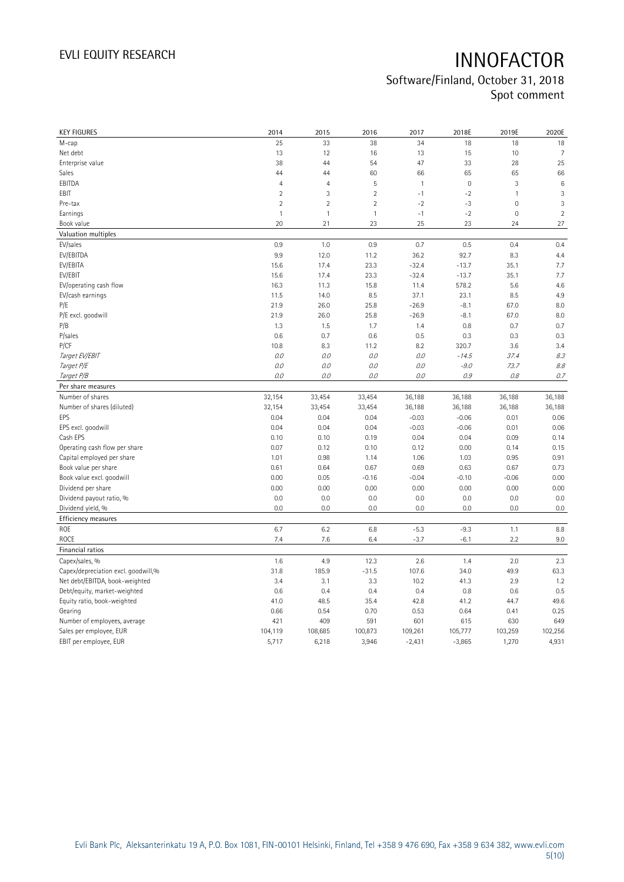| <b>KEY FIGURES</b>                  | 2014           | 2015           | 2016           | 2017         | 2018E       | 2019E        | 2020E           |
|-------------------------------------|----------------|----------------|----------------|--------------|-------------|--------------|-----------------|
| M-cap                               | 25             | 33             | 38             | 34           | 18          | 18           | 18              |
| Net debt                            | 13             | 12             | 16             | 13           | 15          | 10           | 7               |
| Enterprise value                    | 38             | 44             | 54             | 47           | 33          | 28           | 25              |
| Sales                               | 44             | 44             | 60             | 66           | 65          | 65           | 66              |
| EBITDA                              | $\overline{4}$ | $\overline{4}$ | 5              | $\mathbf{1}$ | $\mathbb O$ | 3            | $6\phantom{1}6$ |
| EBIT                                | $\overline{2}$ | $\mathbf{3}$   | $\overline{2}$ | $-1$         | $-2$        | $\mathbf{1}$ | 3               |
| Pre-tax                             | $\overline{2}$ | $\overline{2}$ | $\overline{2}$ | $-2$         | -3          | 0            | 3               |
| Earnings                            | $\mathbf{1}$   | $\mathbf{1}$   | $\mathbf{1}$   | $-1$         | $-2$        | $\mathbf 0$  | $\overline{c}$  |
| Book value                          | 20             | 21             | 23             | 25           | 23          | 24           | 27              |
| Valuation multiples                 |                |                |                |              |             |              |                 |
| EV/sales                            | 0.9            | 1.0            | 0.9            | 0.7          | 0.5         | 0.4          | 0.4             |
| EV/EBITDA                           | 9.9            | 12.0           | 11.2           | 36.2         | 92.7        | 8.3          | 4.4             |
| EV/EBITA                            | 15.6           | 17.4           | 23.3           | $-32.4$      | $-13.7$     | 35.1         | 7.7             |
| EV/EBIT                             | 15.6           | 17.4           | 23.3           | $-32.4$      | $-13.7$     | 35.1         | 7.7             |
| EV/operating cash flow              | 16.3           | 11.3           | 15.8           | 11.4         | 578.2       | 5.6          | 4.6             |
| EV/cash earnings                    | 11.5           | 14.0           | 8.5            | 37.1         | 23.1        | 8.5          | 4.9             |
| P/E                                 | 21.9           | 26.0           | 25.8           | $-26.9$      | $-8.1$      | 67.0         | 8.0             |
| P/E excl. goodwill                  | 21.9           | 26.0           | 25.8           | $-26.9$      | $-8.1$      | 67.0         | 8.0             |
| P/B                                 | 1.3            | 1.5            | 1.7            | 1.4          | 0.8         | 0.7          | 0.7             |
| P/sales                             | 0.6            | 0.7            | 0.6            | 0.5          | 0.3         | 0.3          | 0.3             |
| P/CF                                | 10.8           | 8.3            | 11.2           | 8.2          | 320.7       | 3.6          | 3.4             |
| Target EV/EBIT                      | 0.0            | 0.0            | 0.0            | 0.0          | $-14.5$     | 37.4         | 8.3             |
| Target P/E                          | 0.0            | 0.0            | 0.0            | 0.0          | $-9.0$      | 73.7         | 8.8             |
| Target P/B                          | 0.0            | 0.0            | 0.0            | 0.0          | 0.9         | 0.8          | 0.7             |
| Per share measures                  |                |                |                |              |             |              |                 |
| Number of shares                    | 32,154         | 33,454         | 33,454         | 36,188       | 36,188      | 36,188       | 36,188          |
| Number of shares (diluted)          | 32,154         | 33,454         | 33,454         | 36,188       | 36,188      | 36,188       | 36,188          |
| EPS                                 | 0.04           | 0.04           | 0.04           | $-0.03$      | $-0.06$     | 0.01         | 0.06            |
| EPS excl. goodwill                  | 0.04           | 0.04           | 0.04           | $-0.03$      | $-0.06$     | 0.01         | 0.06            |
| Cash EPS                            | 0.10           | 0.10           | 0.19           | 0.04         | 0.04        | 0.09         | 0.14            |
| Operating cash flow per share       | 0.07           | 0.12           | 0.10           | 0.12         | 0.00        | 0.14         | 0.15            |
| Capital employed per share          | 1.01           | 0.98           | 1.14           | 1.06         | 1.03        | 0.95         | 0.91            |
| Book value per share                | 0.61           | 0.64           | 0.67           | 0.69         | 0.63        | 0.67         | 0.73            |
| Book value excl. goodwill           | 0.00           | 0.05           | $-0.16$        | $-0.04$      | $-0.10$     | $-0.06$      | 0.00            |
| Dividend per share                  | 0.00           | 0.00           | 0.00           | 0.00         | 0.00        | 0.00         | 0.00            |
| Dividend payout ratio, %            | 0.0            | 0.0            | 0.0            | 0.0          | 0.0         | 0.0          | 0.0             |
| Dividend yield, %                   | 0.0            | 0.0            | 0.0            | 0.0          | 0.0         | 0.0          | 0.0             |
| Efficiency measures                 |                |                |                |              |             |              |                 |
| ROE                                 | 6.7            | 6.2            | 6.8            | $-5.3$       | $-9.3$      | 1.1          | 8.8             |
| ROCE                                | 7.4            | 7.6            | 6.4            | $-3.7$       | $-6.1$      | 2.2          | 9.0             |
| Financial ratios                    |                |                |                |              |             |              |                 |
| Capex/sales, %                      | 1.6            | 4.9            | 12.3           | 2.6          | 1.4         | 2.0          | 2.3             |
| Capex/depreciation excl. goodwill,% | 31.8           | 185.9          | $-31.5$        | 107.6        | 34.0        | 49.9         | 63.3            |
| Net debt/EBITDA, book-weighted      | 3.4            | 3.1            | 3.3            | 10.2         | 41.3        | 2.9          | 1.2             |
| Debt/equity, market-weighted        | 0.6            | 0.4            | 0.4            | 0.4          | 0.8         | 0.6          | 0.5             |
| Equity ratio, book-weighted         | 41.0           | 48.5           | 35.4           | 42.8         | 41.2        | 44.7         | 49.6            |
| Gearing                             | 0.66           | 0.54           | 0.70           | 0.53         | 0.64        | 0.41         | 0.25            |
| Number of employees, average        | 421            | 409            | 591            | 601          | 615         | 630          | 649             |
| Sales per employee, EUR             | 104,119        | 108,685        | 100,873        | 109,261      | 105,777     | 103,259      | 102,256         |
| EBIT per employee, EUR              | 5,717          | 6,218          | 3,946          | $-2,431$     | $-3,865$    | 1,270        | 4,931           |
|                                     |                |                |                |              |             |              |                 |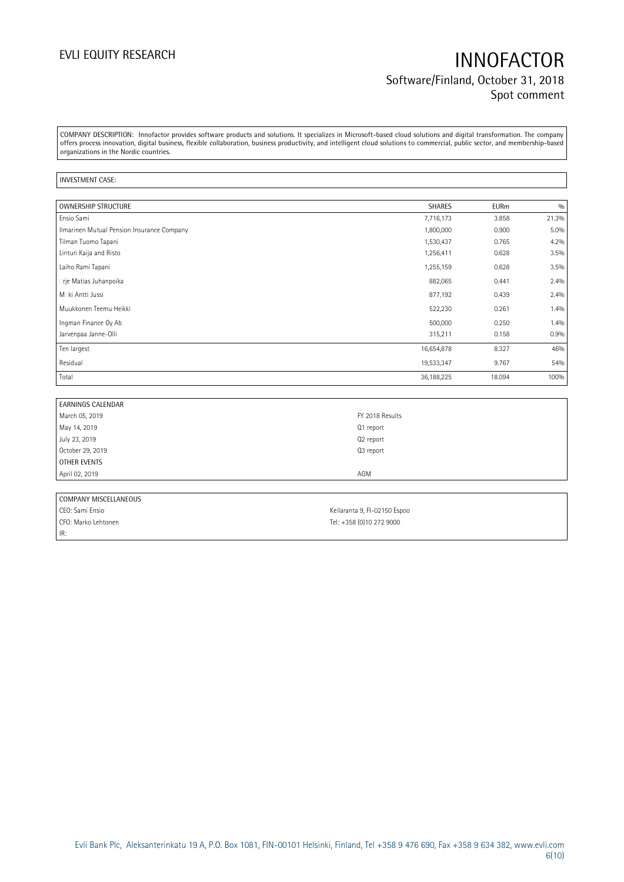## EVLI EQUITY RESEARCH **INNOFACTOR** Software/Finland, October 31, 2018 Spot comment

COMPANY DESCRIPTION: Innofactor provides software products and solutions. It specializes in Microsoft-based cloud solutions and digital transformation. The company offers process innovation, digital business, flexible collaboration, business productivity, and intelligent cloud solutions to commercial, public sector, and membership-based organizations in the Nordic countries.

### INVESTMENT CASE:

| OWNERSHIP STRUCTURE                        | <b>SHARES</b> | <b>EURm</b> | 0/0     |
|--------------------------------------------|---------------|-------------|---------|
| Ensio Sami                                 | 7,716,173     | 3.858       | 21.3%   |
| Ilmarinen Mutual Pension Insurance Company | 1,800,000     | 0.900       | $5.0\%$ |
| Tilman Tuomo Tapani                        | 1,530,437     | 0.765       | 4.2%    |
| Linturi Kaija and Risto                    | 1,256,411     | 0.628       | 3.5%    |
| Laiho Rami Tapani                          | 1,255,159     | 0.628       | 3.5%    |
| • rje Matias Juhanpoika                    | 882,065       | 0.441       | 2.4%    |
| M. ki Antti Jussi                          | 877,192       | 0.439       | 2.4%    |
| Muukkonen Teemu Heikki                     | 522,230       | 0.261       | 1.4%    |
| Ingman Finance Oy Ab                       | 500,000       | 0.250       | 1.4%    |
| Jarvenpaa Janne-Olli                       | 315,211       | 0.158       | 0.9%    |
| Ten largest                                | 16,654,878    | 8.327       | 46%     |
| Residual                                   | 19,533,347    | 9.767       | 54%     |
| Total                                      | 36,188,225    | 18.094      | 100%    |

| <b>EARNINGS CALENDAR</b> |                 |
|--------------------------|-----------------|
| March 05, 2019           | FY 2018 Results |
| May 14, 2019             | Q1 report       |
| July 23, 2019            | Q2 report       |
| October 29, 2019         | Q3 report       |
| OTHER EVENTS             |                 |
| April 02, 2019           | AGM             |
|                          |                 |

| COMPANY MISCELLANEOUS |                              |
|-----------------------|------------------------------|
| CEO: Sami Ensio       | Keilaranta 9, FI-02150 Espoo |
| CFO: Marko Lehtonen   | Tel: +358 (0)10 272 9000     |
| $ $ IR:               |                              |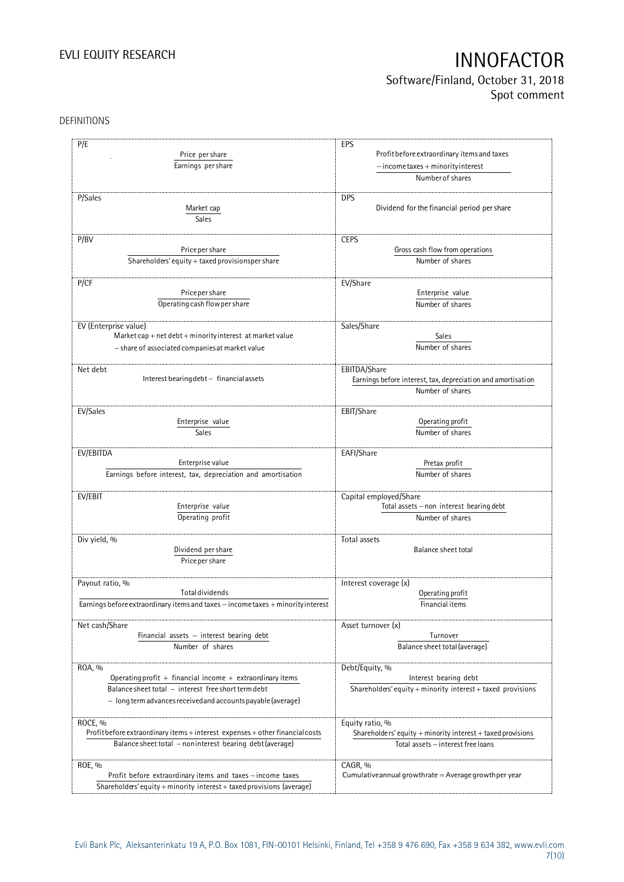## Software/Finland, October 31, 2018 Spot comment

### DEFINITIONS

| P/E                                                                                                                                                                                            | EPS                                                                                                    |
|------------------------------------------------------------------------------------------------------------------------------------------------------------------------------------------------|--------------------------------------------------------------------------------------------------------|
| Price per share                                                                                                                                                                                | Profit before extraordinary items and taxes                                                            |
| Earnings per share                                                                                                                                                                             | $-$ income taxes + minority interest                                                                   |
|                                                                                                                                                                                                | Number of shares                                                                                       |
| P/Sales<br>Market cap<br>Sales                                                                                                                                                                 | <b>DPS</b><br>Dividend for the financial period per share                                              |
| P/BV                                                                                                                                                                                           | <b>CEPS</b>                                                                                            |
| Price per share                                                                                                                                                                                | Gross cash flow from operations                                                                        |
| Shareholders' equity + taxed provisionsper share                                                                                                                                               | Number of shares                                                                                       |
| P/CF                                                                                                                                                                                           | EV/Share                                                                                               |
| Price per share                                                                                                                                                                                | Enterprise value                                                                                       |
| Operating cash flow per share                                                                                                                                                                  | Number of shares                                                                                       |
| EV (Enterprise value)                                                                                                                                                                          | Sales/Share                                                                                            |
| Market cap + net debt + minority interest at market value                                                                                                                                      | Sales                                                                                                  |
| - share of associated companies at market value                                                                                                                                                | Number of shares                                                                                       |
| Net debt<br>Interest bearing debt - financial assets                                                                                                                                           | EBITDA/Share<br>Earnings before interest, tax, depreciation and amortisation<br>Number of shares       |
| EV/Sales                                                                                                                                                                                       | EBIT/Share                                                                                             |
| Enterprise value                                                                                                                                                                               | Operating profit                                                                                       |
| <b>Sales</b>                                                                                                                                                                                   | Number of shares                                                                                       |
| EV/EBITDA                                                                                                                                                                                      | EAFI/Share                                                                                             |
| Enterprise value                                                                                                                                                                               | Pretax profit                                                                                          |
| Earnings before interest, tax, depreciation and amortisation                                                                                                                                   | Number of shares                                                                                       |
| EV/EBIT                                                                                                                                                                                        | Capital employed/Share                                                                                 |
| Enterprise value                                                                                                                                                                               | Total assets - non interest bearing debt                                                               |
| Operating profit                                                                                                                                                                               | Number of shares                                                                                       |
| Div yield, %<br>Dividend per share<br>Price per share                                                                                                                                          | Total assets<br>Balance sheet total                                                                    |
| Payout ratio, %                                                                                                                                                                                | Interest coverage (x)                                                                                  |
| <b>Total dividends</b>                                                                                                                                                                         | Operating profit                                                                                       |
| Earnings before extraordinary items and taxes - income taxes + minority interest                                                                                                               | Financial items                                                                                        |
| Net cash/Share                                                                                                                                                                                 | Asset turnover (x)                                                                                     |
| Financial assets $-$ interest bearing debt                                                                                                                                                     | Turnover                                                                                               |
| Number of shares                                                                                                                                                                               | Balance sheet total (average)                                                                          |
| ROA, %<br>Operating profit $+$ financial income $+$ extraordinary items<br>Balance sheet total - interest free short term debt<br>- long term advances received and accounts payable (average) | Debt/Equity, %<br>Interest bearing debt<br>Shareholders' equity + minority interest + taxed provisions |
| ROCE, %                                                                                                                                                                                        | Equity ratio, %                                                                                        |
| Profit before extraordinary items + interest expenses + other financial costs                                                                                                                  | Shareholders' equity + minority interest + taxed provisions                                            |
| Balance sheet total - noninterest bearing debt (average)                                                                                                                                       | Total assets - interest free loans                                                                     |
| ROE, %<br>Profit before extraordinary items and taxes - income taxes<br>Shareholders' equity + minority interest + taxed provisions (average)                                                  | CAGR, %<br>Cumulative annual growthrate $=$ Average growthper year                                     |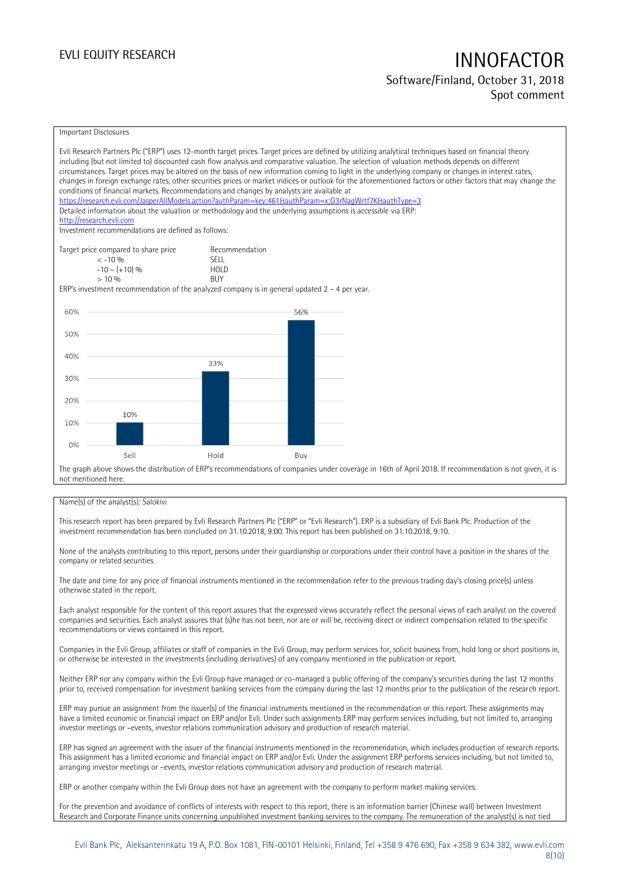### Software/Finland, October 31, 2018 Spot comment

### Important Disclosures

| conditions of financial markets. Recommendations and changes by analysts are available at<br>http://research.evli.com<br>Investment recommendations are defined as follows: |                                                            | Evli Research Partners Plc ("ERP") uses 12-month target prices. Target prices are defined by utilizing analytical techniques based on financial theory<br>including (but not limited to) discounted cash flow analysis and comparative valuation. The selection of valuation methods depends on different<br>circumstances. Target prices may be altered on the basis of new information coming to light in the underlying company or changes in interest rates,<br>changes in foreign exchange rates, other securities prices or market indices or outlook for the aforementioned factors or other factors that may change the<br>https://research.evli.com/JasperAllModels.action?authParam=key;461&tauthParam=x;G3rNaqWrtf7K&tauthType=3<br>Detailed information about the valuation or methodology and the underlying assumptions is accessible via ERP: |
|-----------------------------------------------------------------------------------------------------------------------------------------------------------------------------|------------------------------------------------------------|--------------------------------------------------------------------------------------------------------------------------------------------------------------------------------------------------------------------------------------------------------------------------------------------------------------------------------------------------------------------------------------------------------------------------------------------------------------------------------------------------------------------------------------------------------------------------------------------------------------------------------------------------------------------------------------------------------------------------------------------------------------------------------------------------------------------------------------------------------------|
| Target price compared to share price<br>$< -10\%$<br>$-10 - (+10)$ %<br>$> 10\%$                                                                                            | Recommendation<br><b>SFII</b><br><b>HOLD</b><br><b>BUY</b> |                                                                                                                                                                                                                                                                                                                                                                                                                                                                                                                                                                                                                                                                                                                                                                                                                                                              |
| ERP's investment recommendation of the analyzed company is in general updated $2 - 4$ per year.                                                                             |                                                            |                                                                                                                                                                                                                                                                                                                                                                                                                                                                                                                                                                                                                                                                                                                                                                                                                                                              |
| 60%                                                                                                                                                                         |                                                            | 56%                                                                                                                                                                                                                                                                                                                                                                                                                                                                                                                                                                                                                                                                                                                                                                                                                                                          |
| 50%                                                                                                                                                                         |                                                            |                                                                                                                                                                                                                                                                                                                                                                                                                                                                                                                                                                                                                                                                                                                                                                                                                                                              |
| 40%                                                                                                                                                                         | 33%                                                        |                                                                                                                                                                                                                                                                                                                                                                                                                                                                                                                                                                                                                                                                                                                                                                                                                                                              |
| 30%                                                                                                                                                                         |                                                            |                                                                                                                                                                                                                                                                                                                                                                                                                                                                                                                                                                                                                                                                                                                                                                                                                                                              |
| 20%                                                                                                                                                                         |                                                            |                                                                                                                                                                                                                                                                                                                                                                                                                                                                                                                                                                                                                                                                                                                                                                                                                                                              |
| 10%<br>10%                                                                                                                                                                  |                                                            |                                                                                                                                                                                                                                                                                                                                                                                                                                                                                                                                                                                                                                                                                                                                                                                                                                                              |
| 0%<br>Sell                                                                                                                                                                  | Hold                                                       | Buy                                                                                                                                                                                                                                                                                                                                                                                                                                                                                                                                                                                                                                                                                                                                                                                                                                                          |
| not mentioned here.                                                                                                                                                         |                                                            | The graph above shows the distribution of ERP's recommendations of companies under coverage in 16th of April 2018. If recommendation is not given, it is                                                                                                                                                                                                                                                                                                                                                                                                                                                                                                                                                                                                                                                                                                     |

### Name(s) of the analyst(s): Salokivi

This research report has been prepared by Evli Research Partners Plc ("ERP" or "Evli Research"). ERP is a subsidiary of Evli Bank Plc. Production of the investment recommendation has been concluded on 31.10.2018, 9:00. This report has been published on 31.10.2018, 9:10.

None of the analysts contributing to this report, persons under their guardianship or corporations under their control have a position in the shares of the company or related securities.

The date and time for any price of financial instruments mentioned in the recommendation refer to the previous trading day's closing price(s) unless otherwise stated in the report.

Each analyst responsible for the content of this report assures that the expressed views accurately reflect the personal views of each analyst on the covered companies and securities. Each analyst assures that (s)he has not been, nor are or will be, receiving direct or indirect compensation related to the specific recommendations or views contained in this report.

Companies in the Evli Group, affiliates or staff of companies in the Evli Group, may perform services for, solicit business from, hold long or short positions in, or otherwise be interested in the investments (including derivatives) of any company mentioned in the publication or report.

Neither ERP nor any company within the Evli Group have managed or co-managed a public offering of the company's securities during the last 12 months prior to, received compensation for investment banking services from the company during the last 12 months prior to the publication of the research report.

ERP may pursue an assignment from the issuer(s) of the financial instruments mentioned in the recommendation or this report. These assignments may have a limited economic or financial impact on ERP and/or Evli. Under such assignments ERP may perform services including, but not limited to, arranging investor meetings or –events, investor relations communication advisory and production of research material.

ERP has signed an agreement with the issuer of the financial instruments mentioned in the recommendation, which includes production of research reports. This assignment has a limited economic and financial impact on ERP and/or Evli. Under the assignment ERP performs services including, but not limited to, arranging investor meetings or –events, investor relations communication advisory and production of research material.

ERP or another company within the Evli Group does not have an agreement with the company to perform market making services.

For the prevention and avoidance of conflicts of interests with respect to this report, there is an information barrier (Chinese wall) between Investment Research and Corporate Finance units concerning unpublished investment banking services to the company. The remuneration of the analyst(s) is not tied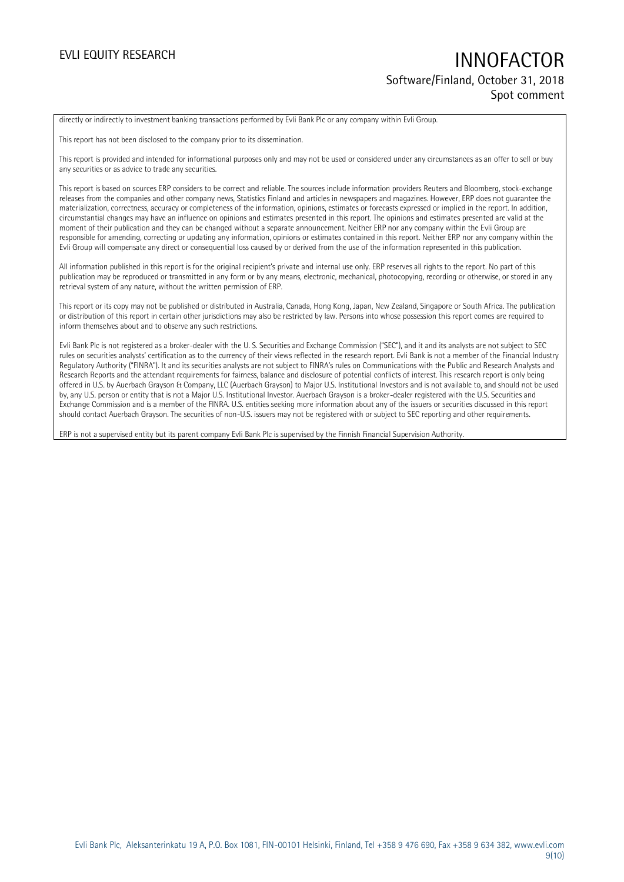## EVLI EQUITY RESEARCH **INNOFACTOR** Software/Finland, October 31, 2018 Spot comment

directly or indirectly to investment banking transactions performed by Evli Bank Plc or any company within Evli Group.

This report has not been disclosed to the company prior to its dissemination.

This report is provided and intended for informational purposes only and may not be used or considered under any circumstances as an offer to sell or buy any securities or as advice to trade any securities.

This report is based on sources ERP considers to be correct and reliable. The sources include information providers Reuters and Bloomberg, stock-exchange releases from the companies and other company news, Statistics Finland and articles in newspapers and magazines. However, ERP does not guarantee the materialization, correctness, accuracy or completeness of the information, opinions, estimates or forecasts expressed or implied in the report. In addition, circumstantial changes may have an influence on opinions and estimates presented in this report. The opinions and estimates presented are valid at the moment of their publication and they can be changed without a separate announcement. Neither ERP nor any company within the Evli Group are responsible for amending, correcting or updating any information, opinions or estimates contained in this report. Neither ERP nor any company within the Evli Group will compensate any direct or consequential loss caused by or derived from the use of the information represented in this publication.

All information published in this report is for the original recipient's private and internal use only. ERP reserves all rights to the report. No part of this publication may be reproduced or transmitted in any form or by any means, electronic, mechanical, photocopying, recording or otherwise, or stored in any retrieval system of any nature, without the written permission of ERP.

This report or its copy may not be published or distributed in Australia, Canada, Hong Kong, Japan, New Zealand, Singapore or South Africa. The publication or distribution of this report in certain other jurisdictions may also be restricted by law. Persons into whose possession this report comes are required to inform themselves about and to observe any such restrictions.

Evli Bank Plc is not registered as a broker-dealer with the U. S. Securities and Exchange Commission ("SEC"), and it and its analysts are not subject to SEC rules on securities analysts' certification as to the currency of their views reflected in the research report. Evli Bank is not a member of the Financial Industry Regulatory Authority ("FINRA"). It and its securities analysts are not subject to FINRA's rules on Communications with the Public and Research Analysts and Research Reports and the attendant requirements for fairness, balance and disclosure of potential conflicts of interest. This research report is only being offered in U.S. by Auerbach Grayson & Company, LLC (Auerbach Grayson) to Major U.S. Institutional Investors and is not available to, and should not be used by, any U.S. person or entity that is not a Major U.S. Institutional Investor. Auerbach Grayson is a broker-dealer registered with the U.S. Securities and Exchange Commission and is a member of the FINRA. U.S. entities seeking more information about any of the issuers or securities discussed in this report should contact Auerbach Grayson. The securities of non-U.S. issuers may not be registered with or subject to SEC reporting and other requirements.

ERP is not a supervised entity but its parent company Evli Bank Plc is supervised by the Finnish Financial Supervision Authority.